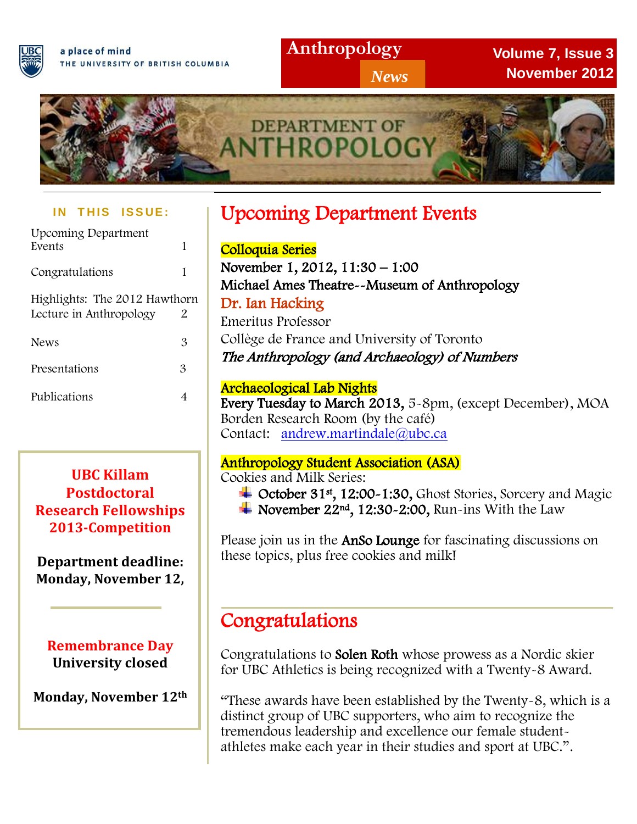

## **Anthropology**

*News*

**Volume 7, Issue 3 November 2012**



#### **IN THIS ISSUE:**

| <b>Upcoming Department</b><br>Events                     | 1 |
|----------------------------------------------------------|---|
| Congratulations                                          | 1 |
| Highlights: The 2012 Hawthorn<br>Lecture in Anthropology | 2 |
| <b>News</b>                                              | 3 |
| Presentations                                            | 3 |
| Publications                                             |   |

**UBC Killam Postdoctoral Research Fellowships 2013-Competition**

#### **Department deadline: Monday, November 12,**

**Remembrance Day University closed**

**Monday, November 12th**

# Upcoming Department Events

 Colloquia Series November 1, 2012, 11:30 – 1:00 Michael Ames Theatre--Museum of Anthropology Dr. Ian Hacking Emeritus Professor Collège de France and University of Toronto The Anthropology (and Archaeology) of Numbers

#### Archaeological Lab Nights

Every Tuesday to March 2013, 5-8pm, (except December), MOA Borden Research Room (by the café) Contact: [andrew.martindale@ubc.ca](mailto:andrew.martindale@ubc.ca)

#### Anthropology Student Association (ASA)

Cookies and Milk Series:

- October 31st, 12:00~1:30, Ghost Stories, Sorcery and Magic
- November 22nd , 12:30-2:00, Run-ins With the Law

Please join us in the AnSo Lounge for fascinating discussions on these form as in the **Alloc Lounge** for the these topics, plus free cookies and milk!

# Congratulations

 Congratulations to Solen Roth whose prowess as a Nordic skier for UBC Athletics is being recognized with a Twenty-8 Award.

 "These awards have been established by the Twenty-8, which is a distinct group of UBC supporters, who aim to recognize the tremendous leadership and excellence our female studentathletes make each year in their studies and sport at UBC.".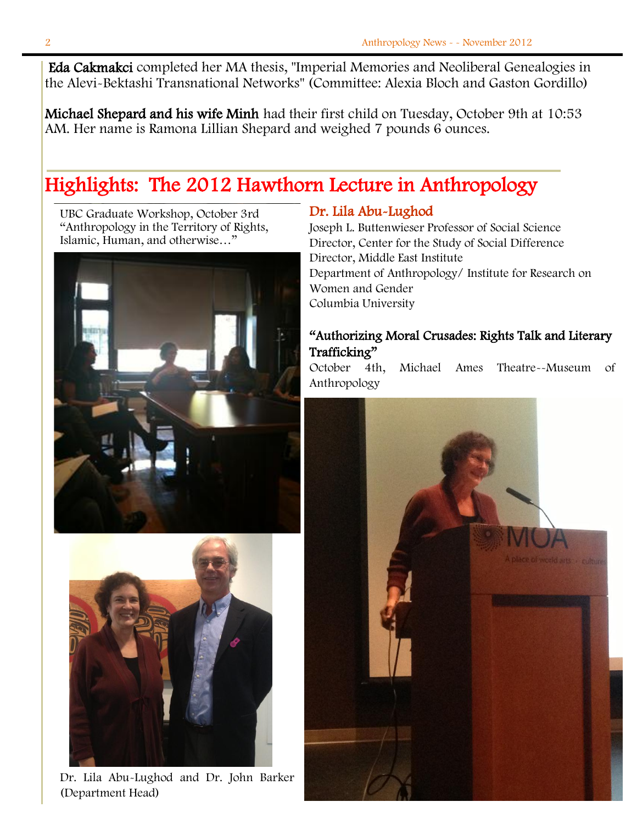Eda Cakmakci completed her MA thesis, "Imperial Memories and Neoliberal Genealogies in the Alevi-Bektashi Transnational Networks" (Committee: Alexia Bloch and Gaston Gordillo)

Michael Shepard and his wife Minh had their first child on Tuesday, October 9th at 10:53 AM. Her name is Ramona Lillian Shepard and weighed 7 pounds 6 ounces.

# Highlights: The 2012 Hawthorn Lecture in Anthropology

UBC Graduate Workshop, October 3rd "Anthropology in the Territory of Rights, Islamic, Human, and otherwise…"





Dr. Lila Abu-Lughod and Dr. John Barker (Department Head)

#### Dr. Lila Abu-Lughod

Joseph L. Buttenwieser Professor of Social Science Director, Center for the Study of Social Difference Director, Middle East Institute Department of Anthropology/ Institute for Research on Women and Gender Columbia University

#### "Authorizing Moral Crusades: Rights Talk and Literary Trafficking"

October 4th, Michael Ames Theatre--Museum of Anthropology

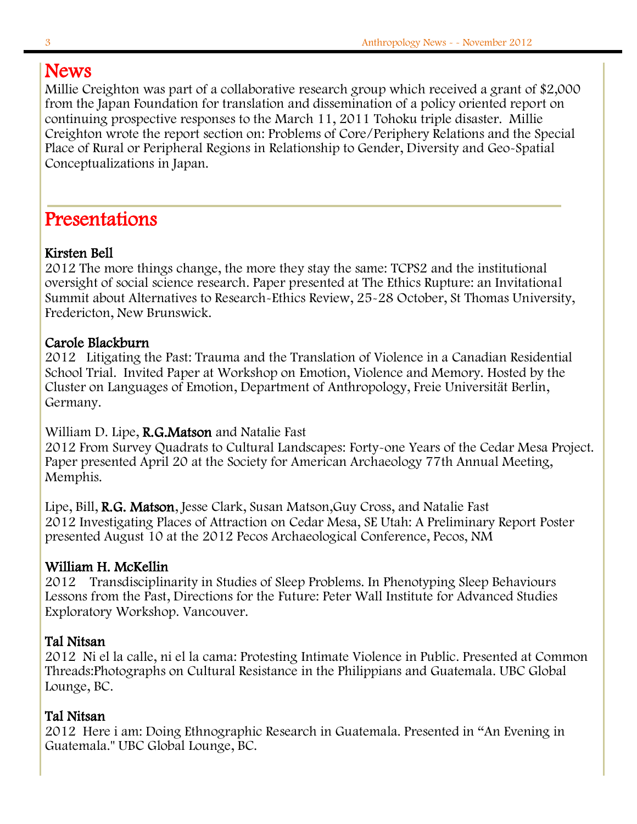## News

Millie Creighton was part of a collaborative research group which received a grant of \$2,000 from the Japan Foundation for translation and dissemination of a policy oriented report on continuing prospective responses to the March 11, 2011 Tohoku triple disaster. Millie Creighton wrote the report section on: Problems of Core/Periphery Relations and the Special Place of Rural or Peripheral Regions in Relationship to Gender, Diversity and Geo-Spatial Conceptualizations in Japan.

## Presentations

#### Kirsten Bell

2012 The more things change, the more they stay the same: TCPS2 and the institutional oversight of social science research. Paper presented at The Ethics Rupture: an Invitational Summit about Alternatives to Research-Ethics Review, 25-28 October, St Thomas University, Fredericton, New Brunswick.

#### Carole Blackburn

2012 Litigating the Past: Trauma and the Translation of Violence in a Canadian Residential School Trial. Invited Paper at Workshop on Emotion, Violence and Memory. Hosted by the Cluster on Languages of Emotion, Department of Anthropology, Freie Universität Berlin, Germany.

#### William D. Lipe, R.G. Matson and Natalie Fast

2012 From Survey Quadrats to Cultural Landscapes: Forty-one Years of the Cedar Mesa Project. Paper presented April 20 at the Society for American Archaeology 77th Annual Meeting, Memphis.

Lipe, Bill, R.G. Matson, Jesse Clark, Susan Matson,Guy Cross, and Natalie Fast 2012 Investigating Places of Attraction on Cedar Mesa, SE Utah: A Preliminary Report Poster presented August 10 at the 2012 Pecos Archaeological Conference, Pecos, NM

#### William H. McKellin

2012 Transdisciplinarity in Studies of Sleep Problems. In Phenotyping Sleep Behaviours Lessons from the Past, Directions for the Future: Peter Wall Institute for Advanced Studies Exploratory Workshop. Vancouver.

#### Tal Nitsan

2012 Ni el la calle, ni el la cama: Protesting Intimate Violence in Public. Presented at Common Threads:Photographs on Cultural Resistance in the Philippians and Guatemala. UBC Global Lounge, BC.

#### Tal Nitsan

2012 Here i am: Doing Ethnographic Research in Guatemala. Presented in "An Evening in Guatemala." UBC Global Lounge, BC.

l.